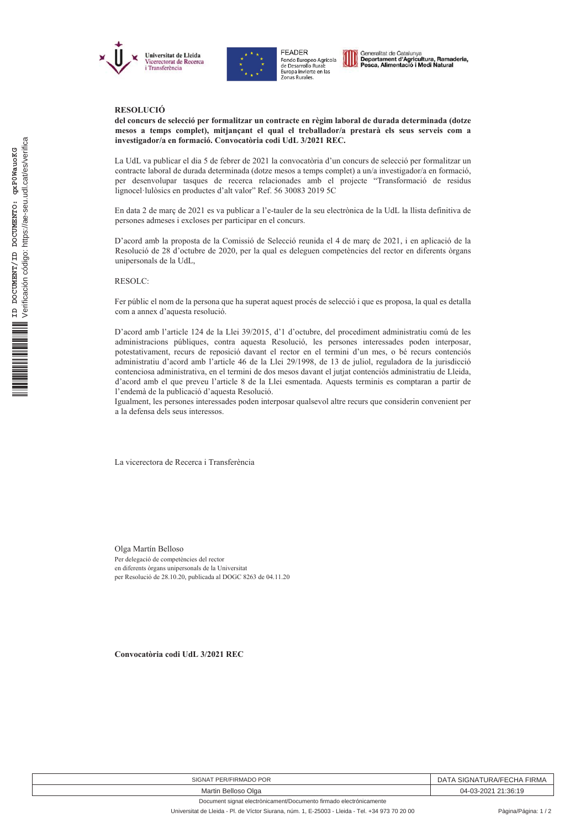



FFADER Figure 1<br>Fondo Europeo Agrícola<br>de Desarrollo Rural:<br>Europa invierte en las<br>Zonas Rurales. Generalitat de Catalunya<br>Departament d'Agricultura, Ramaderia,<br>Pesca, Alimentació i Medi Natural

## **RESOLUCIÓ**

del concurs de selecció per formalitzar un contracte en règim laboral de durada determinada (dotze mesos a temps complet), mitjançant el qual el treballador/a prestarà els seus serveis com a investigador/a en formació. Convocatòria codi UdL 3/2021 REC.

La UdL va publicar el dia 5 de febrer de 2021 la convocatòria d'un concurs de selecció per formalitzar un contracte laboral de durada determinada (dotze mesos a temps complet) a un/a investigador/a en formació, per desenvolupar tasques de recerca relacionades amb el projecte "Transformació de residus lignocel·lulòsics en productes d'alt valor" Ref. 56 30083 2019 5C

En data 2 de març de 2021 es va publicar a l'e-tauler de la seu electrònica de la UdL la llista definitiva de persones admeses i excloses per participar en el concurs.

D'acord amb la proposta de la Comissió de Selecció reunida el 4 de març de 2021, i en aplicació de la Resolució de 28 d'octubre de 2020, per la qual es deleguen competències del rector en diferents òrgans unipersonals de la UdL,

RESOLC:

Fer públic el nom de la persona que ha superat aquest procés de selecció i que es proposa, la qual es detalla com a annex d'aquesta resolució.

D'acord amb l'article 124 de la Llei 39/2015, d'1 d'octubre, del procediment administratiu comú de les administracions públiques, contra aquesta Resolució, les persones interessades poden interposar, potestativament, recurs de reposició davant el rector en el termini d'un mes, o bé recurs contenciós administratiu d'acord amb l'article 46 de la Llei 29/1998, de 13 de juliol, reguladora de la jurisdicció contenciosa administrativa, en el termini de dos mesos davant el jutjat contenciós administratiu de Lleida, d'acord amb el que preveu l'article 8 de la Llei esmentada. Aquests terminis es comptaran a partir de l'endemà de la publicació d'aquesta Resolució.

Igualment, les persones interessades poden interposar qualsevol altre recurs que considerin convenient per a la defensa dels seus interessos.

La vicerectora de Recerca i Transferència

Olga Martín Belloso Per delegació de competències del rector en diferents òrgans unipersonals de la Universitat per Resolució de 28.10.20, publicada al DOGC 8263 de 04.11.20

Convocatòria codi UdL 3/2021 REC

| SIGNAT PER/FIRMADO POR                                             | \ SIGNATURA/FECHA FIRMA<br>DA. |
|--------------------------------------------------------------------|--------------------------------|
| Martin Belloso Olga                                                | 04-03-2021 21:36:19            |
| Document signat electrònicament/Documento firmado electrónicamente |                                |